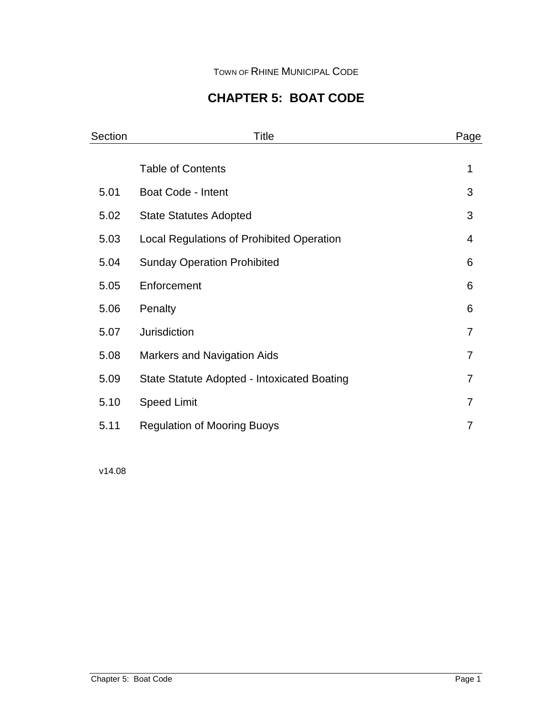TOWN OF RHINE MUNICIPAL CODE

## **CHAPTER 5: BOAT CODE**

| Section | <b>Title</b>                                     | Page           |
|---------|--------------------------------------------------|----------------|
|         | <b>Table of Contents</b>                         | 1              |
| 5.01    | <b>Boat Code - Intent</b>                        | 3              |
| 5.02    | <b>State Statutes Adopted</b>                    | 3              |
| 5.03    | <b>Local Regulations of Prohibited Operation</b> | 4              |
| 5.04    | <b>Sunday Operation Prohibited</b>               | 6              |
| 5.05    | Enforcement                                      | 6              |
| 5.06    | Penalty                                          | 6              |
| 5.07    | <b>Jurisdiction</b>                              | 7              |
| 5.08    | <b>Markers and Navigation Aids</b>               | 7              |
| 5.09    | State Statute Adopted - Intoxicated Boating      | 7              |
| 5.10    | <b>Speed Limit</b>                               | $\overline{7}$ |
| 5.11    | <b>Regulation of Mooring Buoys</b>               | 7              |

v14.08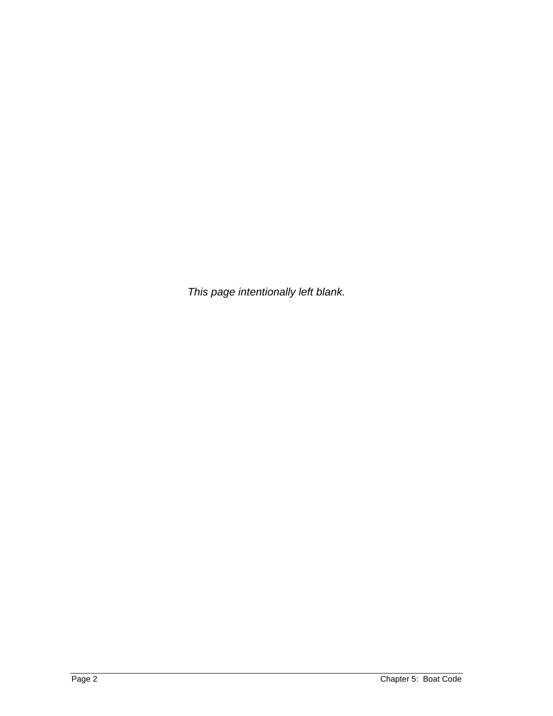*This page intentionally left blank.*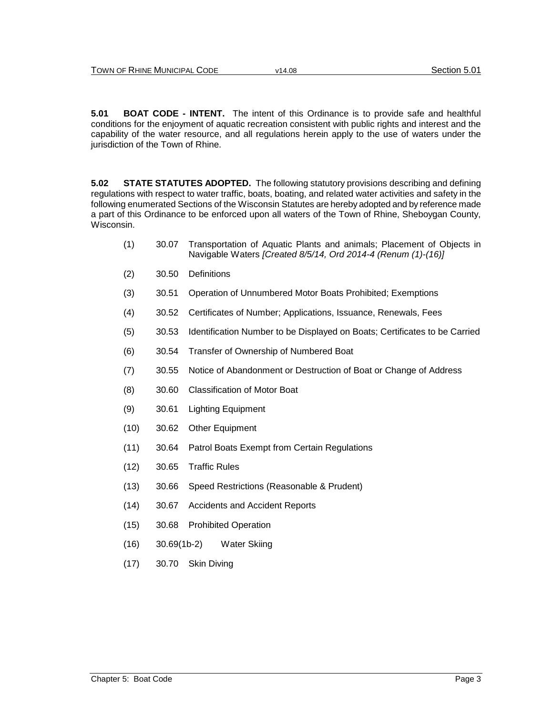**5.01 BOAT CODE - INTENT.** The intent of this Ordinance is to provide safe and healthful conditions for the enjoyment of aquatic recreation consistent with public rights and interest and the capability of the water resource, and all regulations herein apply to the use of waters under the jurisdiction of the Town of Rhine.

**5.02 STATE STATUTES ADOPTED.** The following statutory provisions describing and defining regulations with respect to water traffic, boats, boating, and related water activities and safety in the following enumerated Sections of the Wisconsin Statutes are hereby adopted and by reference made a part of this Ordinance to be enforced upon all waters of the Town of Rhine, Sheboygan County, Wisconsin.

- (1) 30.07 Transportation of Aquatic Plants and animals; Placement of Objects in Navigable Waters *[Created 8/5/14, Ord 2014-4 (Renum (1)-(16)]*
- (2) 30.50 Definitions
- (3) 30.51 Operation of Unnumbered Motor Boats Prohibited; Exemptions
- (4) 30.52 Certificates of Number; Applications, Issuance, Renewals, Fees
- (5) 30.53 Identification Number to be Displayed on Boats; Certificates to be Carried
- (6) 30.54 Transfer of Ownership of Numbered Boat
- (7) 30.55 Notice of Abandonment or Destruction of Boat or Change of Address
- (8) 30.60 Classification of Motor Boat
- (9) 30.61 Lighting Equipment
- (10) 30.62 Other Equipment
- (11) 30.64 Patrol Boats Exempt from Certain Regulations
- (12) 30.65 Traffic Rules
- (13) 30.66 Speed Restrictions (Reasonable & Prudent)
- (14) 30.67 Accidents and Accident Reports
- (15) 30.68 Prohibited Operation
- (16) 30.69(1b-2) Water Skiing
- (17) 30.70 Skin Diving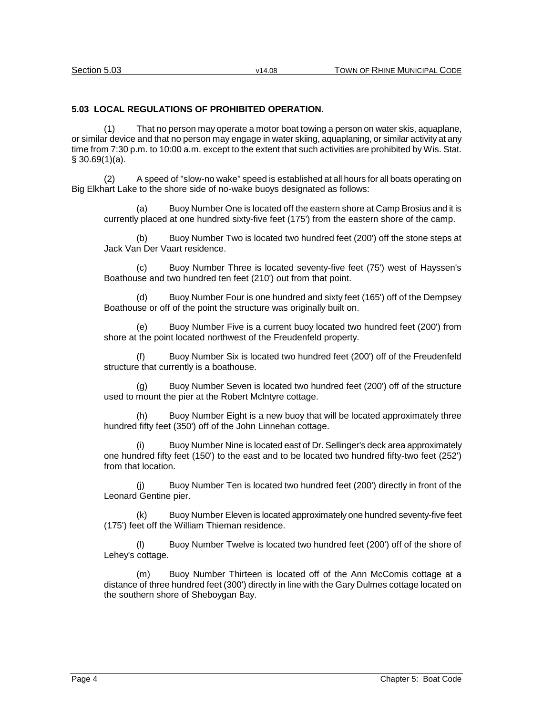## **5.03 LOCAL REGULATIONS OF PROHIBITED OPERATION.**

(1) That no person may operate a motor boat towing a person on water skis, aquaplane, or similar device and that no person may engage in water skiing, aquaplaning, or similar activity at any time from 7:30 p.m. to 10:00 a.m. except to the extent that such activities are prohibited by Wis. Stat.  $§$  30.69(1)(a).

(2) A speed of "slow-no wake" speed is established at all hours for all boats operating on Big Elkhart Lake to the shore side of no-wake buoys designated as follows:

(a) Buoy Number One is located off the eastern shore at Camp Brosius and it is currently placed at one hundred sixty-five feet (175') from the eastern shore of the camp.

(b) Buoy Number Two is located two hundred feet (200') off the stone steps at Jack Van Der Vaart residence.

(c) Buoy Number Three is located seventy-five feet (75') west of Hayssen's Boathouse and two hundred ten feet (210') out from that point.

(d) Buoy Number Four is one hundred and sixty feet (165') off of the Dempsey Boathouse or off of the point the structure was originally built on.

(e) Buoy Number Five is a current buoy located two hundred feet (200') from shore at the point located northwest of the Freudenfeld property.

(f) Buoy Number Six is located two hundred feet (200') off of the Freudenfeld structure that currently is a boathouse.

(g) Buoy Number Seven is located two hundred feet (200') off of the structure used to mount the pier at the Robert Mclntyre cottage.

(h) Buoy Number Eight is a new buoy that will be located approximately three hundred fifty feet (350') off of the John Linnehan cottage.

Buoy Number Nine is located east of Dr. Sellinger's deck area approximately one hundred fifty feet (150') to the east and to be located two hundred fifty-two feet (252') from that location.

(j) Buoy Number Ten is located two hundred feet (200') directly in front of the Leonard Gentine pier.

(k) Buoy Number Eleven is located approximately one hundred seventy-five feet (175') feet off the William Thieman residence.

(l) Buoy Number Twelve is located two hundred feet (200') off of the shore of Lehey's cottage.

(m) Buoy Number Thirteen is located off of the Ann McComis cottage at a distance of three hundred feet (300') directly in line with the Gary Dulmes cottage located on the southern shore of Sheboygan Bay.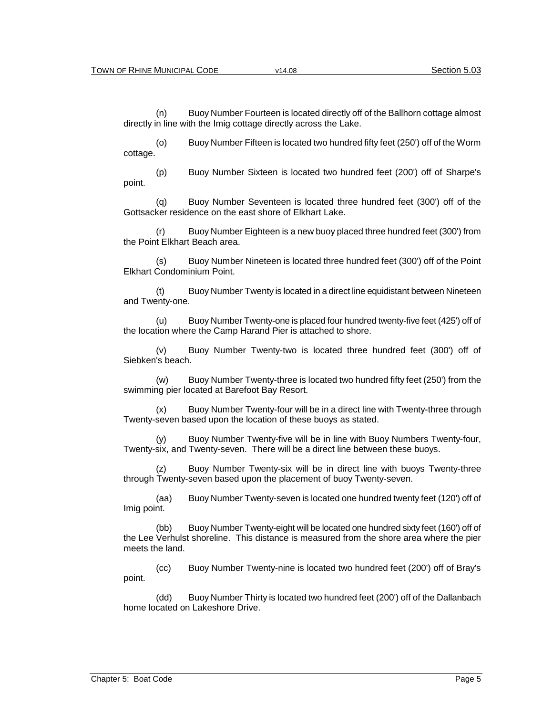(n) Buoy Number Fourteen is located directly off of the Ballhorn cottage almost directly in line with the Imig cottage directly across the Lake.

(o) Buoy Number Fifteen is located two hundred fifty feet (250') off of the Worm cottage.

(p) Buoy Number Sixteen is located two hundred feet (200') off of Sharpe's point.

(q) Buoy Number Seventeen is located three hundred feet (300') off of the Gottsacker residence on the east shore of Elkhart Lake.

(r) Buoy Number Eighteen is a new buoy placed three hundred feet (300') from the Point Elkhart Beach area.

(s) Buoy Number Nineteen is located three hundred feet (300') off of the Point Elkhart Condominium Point.

(t) Buoy Number Twenty is located in a direct line equidistant between Nineteen and Twenty-one.

(u) Buoy Number Twenty-one is placed four hundred twenty-five feet (425') off of the location where the Camp Harand Pier is attached to shore.

(v) Buoy Number Twenty-two is located three hundred feet (300') off of Siebken's beach.

(w) Buoy Number Twenty-three is located two hundred fifty feet (250') from the swimming pier located at Barefoot Bay Resort.

(x) Buoy Number Twenty-four will be in a direct line with Twenty-three through Twenty-seven based upon the location of these buoys as stated.

(y) Buoy Number Twenty-five will be in line with Buoy Numbers Twenty-four, Twenty-six, and Twenty-seven. There will be a direct line between these buoys.

(z) Buoy Number Twenty-six will be in direct line with buoys Twenty-three through Twenty-seven based upon the placement of buoy Twenty-seven.

(aa) Buoy Number Twenty-seven is located one hundred twenty feet (120') off of Imig point.

(bb) Buoy Number Twenty-eight will be located one hundred sixty feet (160') off of the Lee Verhulst shoreline. This distance is measured from the shore area where the pier meets the land.

(cc) Buoy Number Twenty-nine is located two hundred feet (200') off of Bray's point.

(dd) Buoy Number Thirty is located two hundred feet (200') off of the Dallanbach home located on Lakeshore Drive.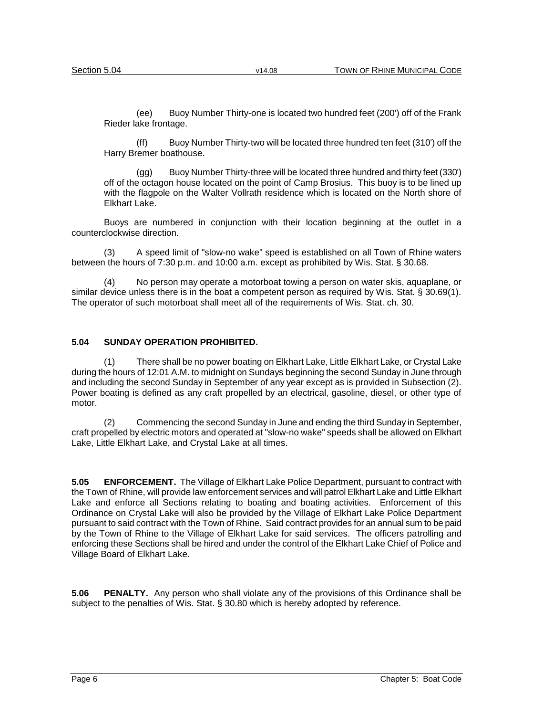(ee) Buoy Number Thirty-one is located two hundred feet (200') off of the Frank Rieder lake frontage.

(ff) Buoy Number Thirty-two will be located three hundred ten feet (310') off the Harry Bremer boathouse.

(gg) Buoy Number Thirty-three will be located three hundred and thirty feet (330') off of the octagon house located on the point of Camp Brosius. This buoy is to be lined up with the flagpole on the Walter Vollrath residence which is located on the North shore of Elkhart Lake.

Buoys are numbered in conjunction with their location beginning at the outlet in a counterclockwise direction.

(3) A speed limit of "slow-no wake" speed is established on all Town of Rhine waters between the hours of 7:30 p.m. and 10:00 a.m. except as prohibited by Wis. Stat. § 30.68.

(4) No person may operate a motorboat towing a person on water skis, aquaplane, or similar device unless there is in the boat a competent person as required by Wis. Stat. § 30.69(1). The operator of such motorboat shall meet all of the requirements of Wis. Stat. ch. 30.

## **5.04 SUNDAY OPERATION PROHIBITED.**

(1) There shall be no power boating on Elkhart Lake, Little Elkhart Lake, or Crystal Lake during the hours of 12:01 A.M. to midnight on Sundays beginning the second Sunday in June through and including the second Sunday in September of any year except as is provided in Subsection (2). Power boating is defined as any craft propelled by an electrical, gasoline, diesel, or other type of motor.

(2) Commencing the second Sunday in June and ending the third Sunday in September, craft propelled by electric motors and operated at "slow-no wake" speeds shall be allowed on Elkhart Lake, Little Elkhart Lake, and Crystal Lake at all times.

**5.05 ENFORCEMENT.** The Village of Elkhart Lake Police Department, pursuant to contract with the Town of Rhine, will provide law enforcement services and will patrol Elkhart Lake and Little Elkhart Lake and enforce all Sections relating to boating and boating activities. Enforcement of this Ordinance on Crystal Lake will also be provided by the Village of Elkhart Lake Police Department pursuant to said contract with the Town of Rhine. Said contract provides for an annual sum to be paid by the Town of Rhine to the Village of Elkhart Lake for said services. The officers patrolling and enforcing these Sections shall be hired and under the control of the Elkhart Lake Chief of Police and Village Board of Elkhart Lake.

**5.06 PENALTY.** Any person who shall violate any of the provisions of this Ordinance shall be subject to the penalties of Wis. Stat. § 30.80 which is hereby adopted by reference.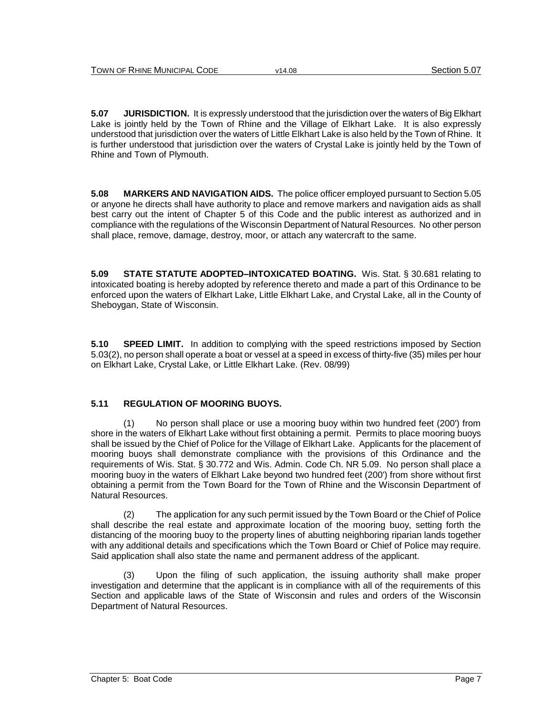**5.07 JURISDICTION.** It is expressly understood that the jurisdiction over the waters of Big Elkhart Lake is jointly held by the Town of Rhine and the Village of Elkhart Lake. It is also expressly understood that jurisdiction over the waters of Little Elkhart Lake is also held by the Town of Rhine. It is further understood that jurisdiction over the waters of Crystal Lake is jointly held by the Town of Rhine and Town of Plymouth.

**5.08 MARKERS AND NAVIGATION AIDS.** The police officer employed pursuant to Section 5.05 or anyone he directs shall have authority to place and remove markers and navigation aids as shall best carry out the intent of Chapter 5 of this Code and the public interest as authorized and in compliance with the regulations of the Wisconsin Department of Natural Resources. No other person shall place, remove, damage, destroy, moor, or attach any watercraft to the same.

**5.09 STATE STATUTE ADOPTED–INTOXICATED BOATING.** Wis. Stat. § 30.681 relating to intoxicated boating is hereby adopted by reference thereto and made a part of this Ordinance to be enforced upon the waters of Elkhart Lake, Little Elkhart Lake, and Crystal Lake, all in the County of Sheboygan, State of Wisconsin.

**5.10 SPEED LIMIT.** In addition to complying with the speed restrictions imposed by Section 5.03(2), no person shall operate a boat or vessel at a speed in excess of thirty-five (35) miles per hour on Elkhart Lake, Crystal Lake, or Little Elkhart Lake. (Rev. 08/99)

## **5.11 REGULATION OF MOORING BUOYS.**

(1) No person shall place or use a mooring buoy within two hundred feet (200') from shore in the waters of Elkhart Lake without first obtaining a permit. Permits to place mooring buoys shall be issued by the Chief of Police for the Village of Elkhart Lake. Applicants for the placement of mooring buoys shall demonstrate compliance with the provisions of this Ordinance and the requirements of Wis. Stat. § 30.772 and Wis. Admin. Code Ch. NR 5.09. No person shall place a mooring buoy in the waters of Elkhart Lake beyond two hundred feet (200') from shore without first obtaining a permit from the Town Board for the Town of Rhine and the Wisconsin Department of Natural Resources.

(2) The application for any such permit issued by the Town Board or the Chief of Police shall describe the real estate and approximate location of the mooring buoy, setting forth the distancing of the mooring buoy to the property lines of abutting neighboring riparian lands together with any additional details and specifications which the Town Board or Chief of Police may require. Said application shall also state the name and permanent address of the applicant.

(3) Upon the filing of such application, the issuing authority shall make proper investigation and determine that the applicant is in compliance with all of the requirements of this Section and applicable laws of the State of Wisconsin and rules and orders of the Wisconsin Department of Natural Resources.